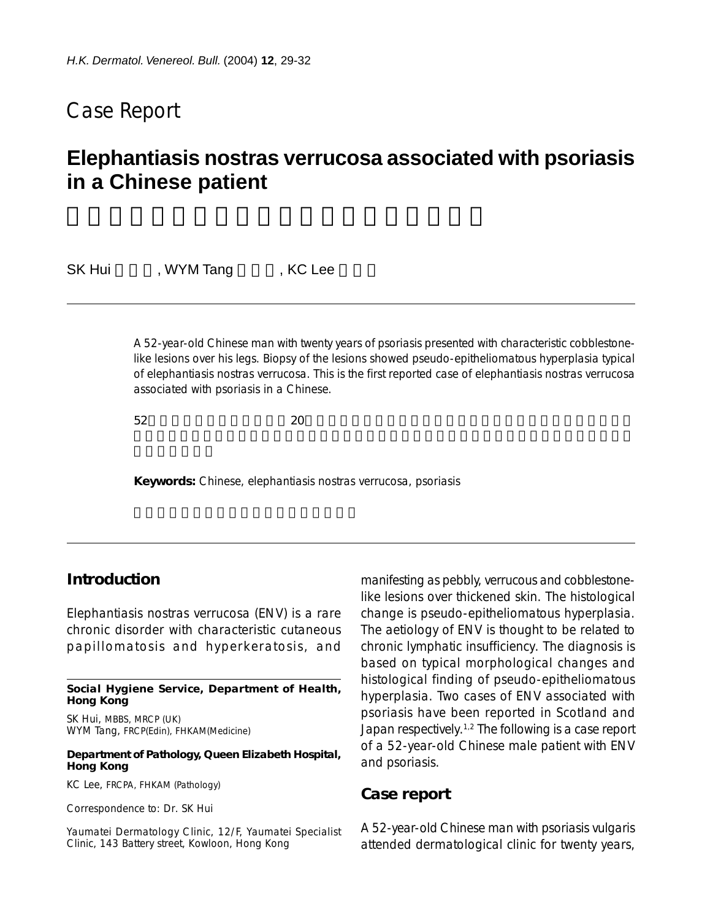## Case Report

# **Elephantiasis nostras verrucosa associated with psoriasis in a Chinese patient**

SK Hui , WYM Tang , KC Lee

A 52-year-old Chinese man with twenty years of psoriasis presented with characteristic cobblestonelike lesions over his legs. Biopsy of the lesions showed pseudo-epitheliomatous hyperplasia typical of elephantiasis nostras verrucosa. This is the first reported case of elephantiasis nostras verrucosa associated with psoriasis in a Chinese.

 $52$  and  $20$ 

**Keywords:** Chinese, elephantiasis nostras verrucosa, psoriasis

#### **Introduction**

Elephantiasis nostras verrucosa (ENV) is a rare chronic disorder with characteristic cutaneous papillomatosis and hyperkeratosis, and

**Social Hygiene Service, Department of Health, Hong Kong**

SK Hui, MBBS, MRCP (UK) WYM Tang, FRCP(Edin), FHKAM(Medicine)

**Department of Pathology, Queen Elizabeth Hospital, Hong Kong**

KC Lee, FRCPA, FHKAM (Pathology)

Correspondence to: Dr. SK Hui

Yaumatei Dermatology Clinic, 12/F, Yaumatei Specialist Clinic, 143 Battery street, Kowloon, Hong Kong

manifesting as pebbly, verrucous and cobblestonelike lesions over thickened skin. The histological change is pseudo-epitheliomatous hyperplasia. The aetiology of ENV is thought to be related to chronic lymphatic insufficiency. The diagnosis is based on typical morphological changes and histological finding of pseudo-epitheliomatous hyperplasia. Two cases of ENV associated with psoriasis have been reported in Scotland and Japan respectively.<sup>1,2</sup> The following is a case report of a 52-year-old Chinese male patient with ENV and psoriasis.

#### **Case report**

A 52-year-old Chinese man with psoriasis vulgaris attended dermatological clinic for twenty years,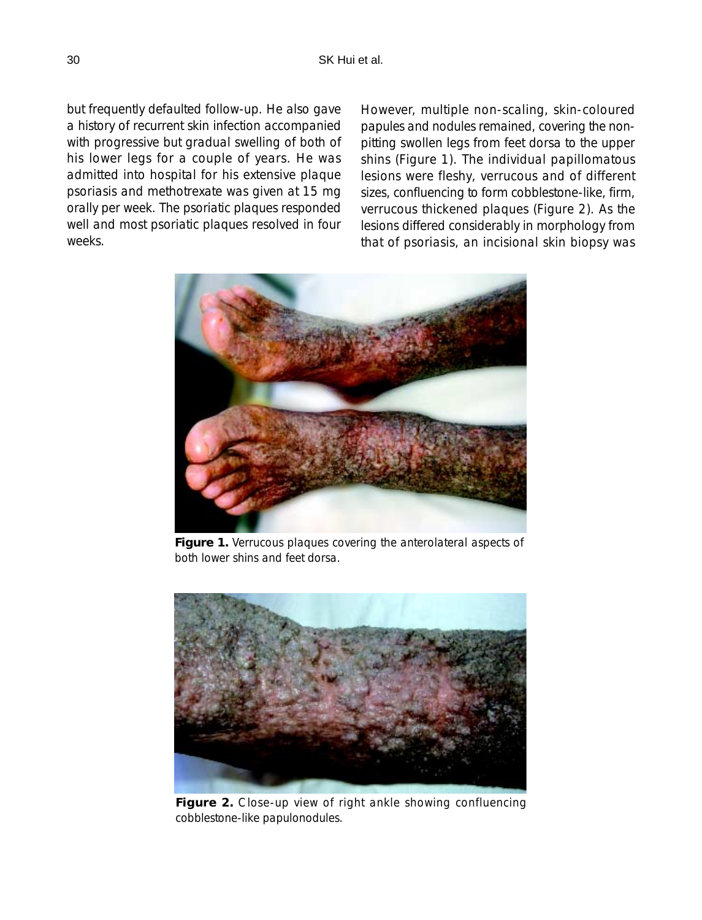but frequently defaulted follow-up. He also gave a history of recurrent skin infection accompanied with progressive but gradual swelling of both of his lower legs for a couple of years. He was admitted into hospital for his extensive plaque psoriasis and methotrexate was given at 15 mg orally per week. The psoriatic plaques responded well and most psoriatic plaques resolved in four weeks.

However, multiple non-scaling, skin-coloured papules and nodules remained, covering the nonpitting swollen legs from feet dorsa to the upper shins (Figure 1). The individual papillomatous lesions were fleshy, verrucous and of different sizes, confluencing to form cobblestone-like, firm, verrucous thickened plaques (Figure 2). As the lesions differed considerably in morphology from that of psoriasis, an incisional skin biopsy was



**Figure 1.** Verrucous plaques covering the anterolateral aspects of both lower shins and feet dorsa.



**Figure 2.** Close-up view of right ankle showing confluencing cobblestone-like papulonodules.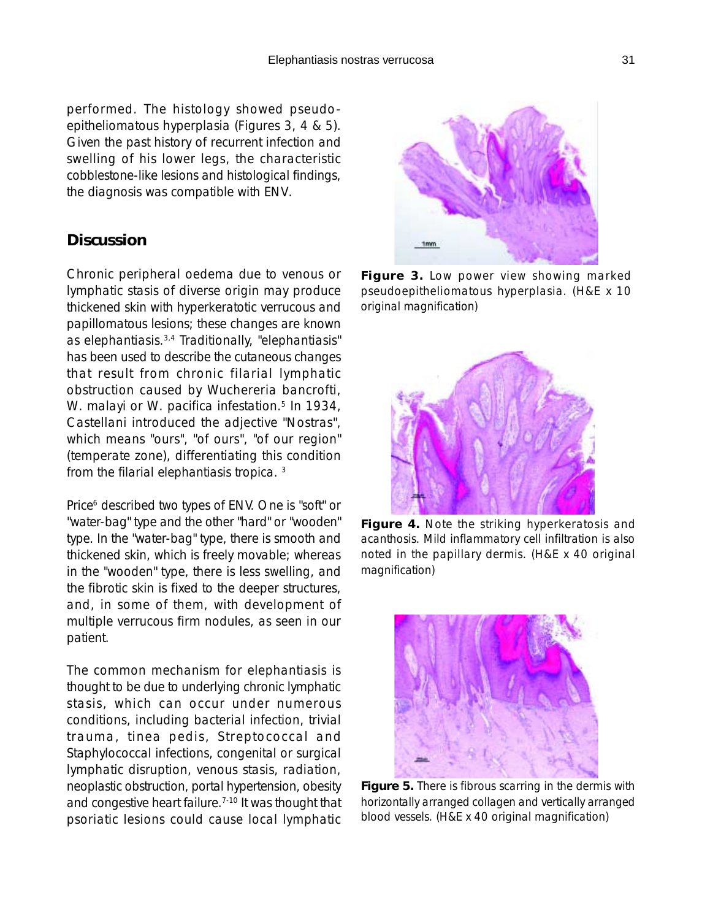performed. The histology showed pseudoepitheliomatous hyperplasia (Figures 3, 4 & 5). Given the past history of recurrent infection and swelling of his lower legs, the characteristic cobblestone-like lesions and histological findings, the diagnosis was compatible with ENV.

## **Discussion**

Chronic peripheral oedema due to venous or lymphatic stasis of diverse origin may produce thickened skin with hyperkeratotic verrucous and papillomatous lesions; these changes are known as elephantiasis.3,4 Traditionally, "elephantiasis" has been used to describe the cutaneous changes that result from chronic filarial lymphatic obstruction caused by Wuchereria bancrofti, W. malayi or W. pacifica infestation.<sup>5</sup> In 1934, Castellani introduced the adjective "Nostras", which means "ours", "of ours", "of our region" (temperate zone), differentiating this condition from the filarial elephantiasis tropica. 3

Price<sup>6</sup> described two types of ENV. One is "soft" or "water-bag" type and the other "hard" or "wooden" type. In the "water-bag" type, there is smooth and thickened skin, which is freely movable; whereas in the "wooden" type, there is less swelling, and the fibrotic skin is fixed to the deeper structures, and, in some of them, with development of multiple verrucous firm nodules, as seen in our patient.

The common mechanism for elephantiasis is thought to be due to underlying chronic lymphatic stasis, which can occur under numerous conditions, including bacterial infection, trivial trauma, tinea pedis, Streptococcal and Staphylococcal infections, congenital or surgical lymphatic disruption, venous stasis, radiation, neoplastic obstruction, portal hypertension, obesity and congestive heart failure.<sup>7-10</sup> It was thought that psoriatic lesions could cause local lymphatic

1mm

**Figure 3.** Low power view showing marked pseudoepitheliomatous hyperplasia. (H&E x 10 original magnification)



**Figure 4.** Note the striking hyperkeratosis and acanthosis. Mild inflammatory cell infiltration is also noted in the papillary dermis. (H&E x 40 original magnification)



**Figure 5.** There is fibrous scarring in the dermis with horizontally arranged collagen and vertically arranged blood vessels. (H&E x 40 original magnification)